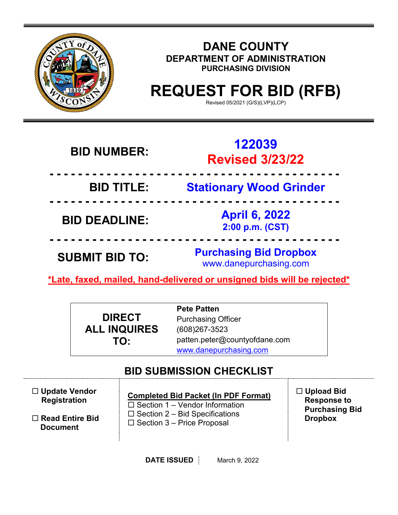

### **DANE COUNTY DEPARTMENT OF ADMINISTRATION PURCHASING DIVISION**

# **REQUEST FOR BID (RFB)**

Revised 05/2021 (G/S)(LVP)(LCP)

| <b>BID NUMBER:</b>    | 122039<br><b>Revised 3/23/22</b>                        |
|-----------------------|---------------------------------------------------------|
| <b>BID TITLE:</b>     | <b>Stationary Wood Grinder</b>                          |
| <b>BID DEADLINE:</b>  | <b>April 6, 2022</b><br>2:00 p.m. (CST)                 |
| <b>SUBMIT BID TO:</b> | <b>Purchasing Bid Dropbox</b><br>www.danepurchasing.com |

**\*Late, faxed, mailed, hand-delivered or unsigned bids will be rejected\*** 

|                     | <b>Pete Patten</b>            |
|---------------------|-------------------------------|
| <b>DIRECT</b>       | <b>Purchasing Officer</b>     |
| <b>ALL INQUIRES</b> | $(608)267 - 3523$             |
| TO:                 | patten.peter@countyofdane.com |
|                     | www.danepurchasing.com        |

# **BID SUBMISSION CHECKLIST**

| $\Box$ Update Vendor   | <b>Completed Bid Packet (In PDF Format)</b> | $\Box$ Upload Bid     |
|------------------------|---------------------------------------------|-----------------------|
| <b>Registration</b>    | $\Box$ Section 1 – Vendor Information       | <b>Response to</b>    |
| $\Box$ Read Entire Bid | $\Box$ Section 2 – Bid Specifications       | <b>Purchasing Bid</b> |
| <b>Document</b>        | $\Box$ Section 3 – Price Proposal           | <b>Dropbox</b>        |

**DATE ISSUED** March 9, 2022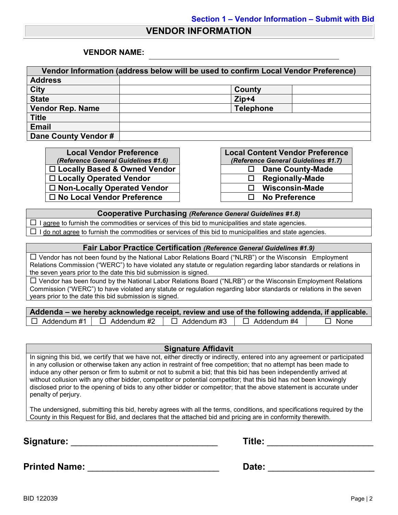### **VENDOR INFORMATION**

#### **VENDOR NAME:**

| Vendor Information (address below will be used to confirm Local Vendor Preference) |                  |  |  |  |
|------------------------------------------------------------------------------------|------------------|--|--|--|
| <b>Address</b>                                                                     |                  |  |  |  |
| <b>City</b>                                                                        | County           |  |  |  |
| <b>State</b>                                                                       | $Zip+4$          |  |  |  |
| <b>Vendor Rep. Name</b>                                                            | <b>Telephone</b> |  |  |  |
| <b>Title</b>                                                                       |                  |  |  |  |
| <b>Email</b>                                                                       |                  |  |  |  |
| Dane County Vendor #                                                               |                  |  |  |  |

**Local Vendor Preference** *(Reference General Guidelines #1.6)* □ Locally Based & Owned Vendor **Locally Operated Vendor □ Non-Locally Operated Vendor No Local Vendor Preference No Preference**

|              | <b>Local Content Vendor Preference</b> |
|--------------|----------------------------------------|
|              | (Reference General Guidelines #1.7)    |
| ⊔            | <b>Dane County-Made</b>                |
| Ħ            | <b>Regionally-Made</b>                 |
| $\mathbf{L}$ | <b>Wisconsin-Made</b>                  |
| $\mathbf{L}$ | <b>No Preference</b>                   |

#### **Cooperative Purchasing** *(Reference General Guidelines #1.8)*

 $\Box$  I agree to furnish the commodities or services of this bid to municipalities and state agencies.  $\Box$  I do not agree to furnish the commodities or services of this bid to municipalities and state agencies.

#### **Fair Labor Practice Certification** *(Reference General Guidelines #1.9)*

 Vendor has not been found by the National Labor Relations Board ("NLRB") or the Wisconsin Employment Relations Commission ("WERC") to have violated any statute or regulation regarding labor standards or relations in the seven years prior to the date this bid submission is signed.

 $\Box$  Vendor has been found by the National Labor Relations Board ("NLRB") or the Wisconsin Employment Relations Commission ("WERC") to have violated any statute or regulation regarding labor standards or relations in the seven years prior to the date this bid submission is signed.

| Addenda – we hereby acknowledge receipt, review and use of the following addenda, if applicable. |                    |                    |             |
|--------------------------------------------------------------------------------------------------|--------------------|--------------------|-------------|
| $\Box$ Addendum #1 $\Box$ Addendum #2                                                            | $\Box$ Addendum #3 | $\Box$ Addendum #4 | $\Box$ None |

#### **Signature Affidavit**

In signing this bid, we certify that we have not, either directly or indirectly, entered into any agreement or participated in any collusion or otherwise taken any action in restraint of free competition; that no attempt has been made to induce any other person or firm to submit or not to submit a bid; that this bid has been independently arrived at without collusion with any other bidder, competitor or potential competitor; that this bid has not been knowingly disclosed prior to the opening of bids to any other bidder or competitor; that the above statement is accurate under penalty of perjury.

The undersigned, submitting this bid, hereby agrees with all the terms, conditions, and specifications required by the County in this Request for Bid, and declares that the attached bid and pricing are in conformity therewith.

**Signature:** \_\_\_\_\_\_\_\_\_\_\_\_\_\_\_\_\_\_\_\_\_\_\_\_\_\_\_\_\_ **Title:** \_\_\_\_\_\_\_\_\_\_\_\_\_\_\_\_\_\_\_\_\_

**Printed Name:** \_\_\_\_\_\_\_\_\_\_\_\_\_\_\_\_\_\_\_\_\_\_\_\_\_\_ **Date:** \_\_\_\_\_\_\_\_\_\_\_\_\_\_\_\_\_\_\_\_\_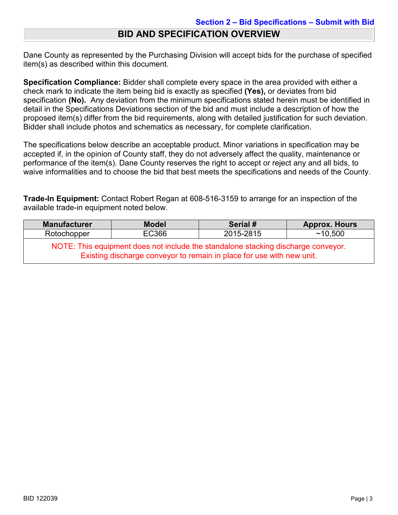### **BID AND SPECIFICATION OVERVIEW**

Dane County as represented by the Purchasing Division will accept bids for the purchase of specified item(s) as described within this document.

**Specification Compliance:** Bidder shall complete every space in the area provided with either a check mark to indicate the item being bid is exactly as specified **(Yes),** or deviates from bid specification **(No).** Any deviation from the minimum specifications stated herein must be identified in detail in the Specifications Deviations section of the bid and must include a description of how the proposed item(s) differ from the bid requirements, along with detailed justification for such deviation. Bidder shall include photos and schematics as necessary, for complete clarification.

The specifications below describe an acceptable product. Minor variations in specification may be accepted if, in the opinion of County staff, they do not adversely affect the quality, maintenance or performance of the item(s). Dane County reserves the right to accept or reject any and all bids, to waive informalities and to choose the bid that best meets the specifications and needs of the County.

**Trade-In Equipment:** Contact Robert Regan at 608-516-3159 to arrange for an inspection of the available trade-in equipment noted below.

| <b>Manufacturer</b>                                                                                                                                        | <b>Model</b>       | Serial # | <b>Approx. Hours</b> |  |  |
|------------------------------------------------------------------------------------------------------------------------------------------------------------|--------------------|----------|----------------------|--|--|
| Rotochopper                                                                                                                                                | EC366<br>2015-2815 |          |                      |  |  |
| NOTE: This equipment does not include the standalone stacking discharge conveyor.<br>Existing discharge conveyor to remain in place for use with new unit. |                    |          |                      |  |  |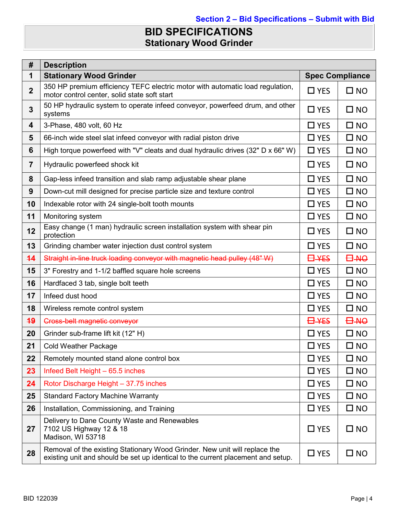# **BID SPECIFICATIONS Stationary Wood Grinder**

| #                       | <b>Description</b>                                                                                                                                             |                        |                 |
|-------------------------|----------------------------------------------------------------------------------------------------------------------------------------------------------------|------------------------|-----------------|
| 1                       | <b>Stationary Wood Grinder</b>                                                                                                                                 | <b>Spec Compliance</b> |                 |
| $\overline{2}$          | 350 HP premium efficiency TEFC electric motor with automatic load regulation,<br>motor control center, solid state soft start                                  | $\Box$ YES             | $\square$ NO    |
| 3                       | 50 HP hydraulic system to operate infeed conveyor, powerfeed drum, and other<br>systems                                                                        | $\Box$ YES             | $\square$ NO    |
| $\overline{\mathbf{4}}$ | 3-Phase, 480 volt, 60 Hz                                                                                                                                       | $\Box$ YES             | $\square$ NO    |
| 5                       | 66-inch wide steel slat infeed conveyor with radial piston drive                                                                                               | $\Box$ YES             | $\square$ NO    |
| 6                       | High torque powerfeed with "V" cleats and dual hydraulic drives (32" D x 66" W)                                                                                | $\Box$ YES             | $\square$ NO    |
| $\overline{7}$          | Hydraulic powerfeed shock kit                                                                                                                                  | $\Box$ YES             | $\square$ NO    |
| 8                       | Gap-less infeed transition and slab ramp adjustable shear plane                                                                                                | $\Box$ YES             | $\square$ NO    |
| 9                       | Down-cut mill designed for precise particle size and texture control                                                                                           | $\Box$ YES             | $\square$ NO    |
| 10                      | Indexable rotor with 24 single-bolt tooth mounts                                                                                                               | $\Box$ YES             | $\square$ NO    |
| 11                      | Monitoring system                                                                                                                                              | $\Box$ YES             | $\square$ NO    |
| 12                      | Easy change (1 man) hydraulic screen installation system with shear pin<br>protection                                                                          | $\Box$ YES             | $\square$ NO    |
| 13                      | Grinding chamber water injection dust control system                                                                                                           | $\Box$ YES             | $\square$ NO    |
| 44                      | Straight in-line truck loading conveyor with magnetic head pulley (48" W)                                                                                      | <b>E</b> +4ES          | <b>OA-</b>      |
| 15                      | 3" Forestry and 1-1/2 baffled square hole screens                                                                                                              | $\Box$ YES             | $\square$ NO    |
| 16                      | Hardfaced 3 tab, single bolt teeth                                                                                                                             | $\Box$ YES             | $\square$ NO    |
| 17                      | Infeed dust hood                                                                                                                                               | $\Box$ YES             | $\square$ NO    |
| 18                      | Wireless remote control system                                                                                                                                 | $\Box$ YES             | $\square$ NO    |
| 49                      | Cross-belt magnetic conveyor                                                                                                                                   | <b>O</b> -YES          | <del>84 D</del> |
| 20                      | Grinder sub-frame lift kit (12" H)                                                                                                                             | $\Box$ YES             | $\square$ NO    |
| 21                      | <b>Cold Weather Package</b>                                                                                                                                    | $\Box$ YES             | $\square$ NO    |
| 22                      | Remotely mounted stand alone control box                                                                                                                       | $\Box$ YES             | $\square$ NO    |
| 23                      | Infeed Belt Height - 65.5 inches                                                                                                                               | $\Box$ YES             | $\square$ NO    |
| 24                      | Rotor Discharge Height - 37.75 inches                                                                                                                          | $\Box$ YES             | $\square$ NO    |
| 25                      | <b>Standard Factory Machine Warranty</b>                                                                                                                       | $\Box$ YES             | $\square$ NO    |
| 26                      | Installation, Commissioning, and Training                                                                                                                      | $\square$ YES          | $\square$ NO    |
| 27                      | Delivery to Dane County Waste and Renewables<br>7102 US Highway 12 & 18<br>Madison, WI 53718                                                                   | $\Box$ YES             | $\square$ NO    |
| 28                      | Removal of the existing Stationary Wood Grinder. New unit will replace the<br>existing unit and should be set up identical to the current placement and setup. | $\Box$ YES             | $\square$ NO    |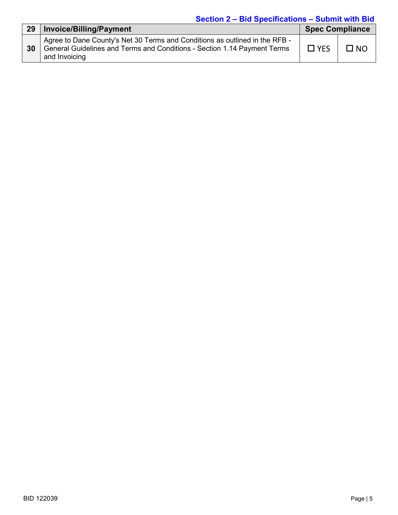### **Section 2 – Bid Specifications – Submit with Bid**

| 29 | <b>Invoice/Billing/Payment</b>                                                                                                                                           | <b>Spec Compliance</b> |           |
|----|--------------------------------------------------------------------------------------------------------------------------------------------------------------------------|------------------------|-----------|
| 30 | Agree to Dane County's Net 30 Terms and Conditions as outlined in the RFB -<br>General Guidelines and Terms and Conditions - Section 1.14 Payment Terms<br>and Invoicing | $\Box$ YES             | $\Box$ NO |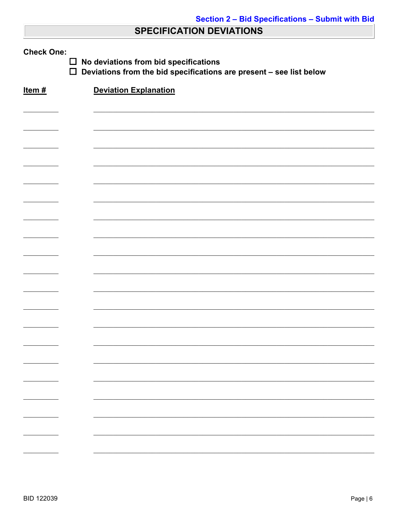### **SPECIFICATION DEVIATIONS**

| <b>Check One:</b><br>No deviations from bid specifications<br>$\Box$<br>$\Box$<br>Deviations from the bid specifications are present - see list below |                              |  |  |  |
|-------------------------------------------------------------------------------------------------------------------------------------------------------|------------------------------|--|--|--|
| Item#                                                                                                                                                 | <b>Deviation Explanation</b> |  |  |  |
|                                                                                                                                                       |                              |  |  |  |
|                                                                                                                                                       |                              |  |  |  |
|                                                                                                                                                       |                              |  |  |  |
|                                                                                                                                                       |                              |  |  |  |
|                                                                                                                                                       |                              |  |  |  |
|                                                                                                                                                       |                              |  |  |  |
|                                                                                                                                                       |                              |  |  |  |
|                                                                                                                                                       |                              |  |  |  |
|                                                                                                                                                       |                              |  |  |  |
|                                                                                                                                                       |                              |  |  |  |
|                                                                                                                                                       |                              |  |  |  |
|                                                                                                                                                       |                              |  |  |  |
|                                                                                                                                                       |                              |  |  |  |
|                                                                                                                                                       |                              |  |  |  |
|                                                                                                                                                       |                              |  |  |  |
|                                                                                                                                                       |                              |  |  |  |
|                                                                                                                                                       |                              |  |  |  |
|                                                                                                                                                       |                              |  |  |  |
|                                                                                                                                                       |                              |  |  |  |